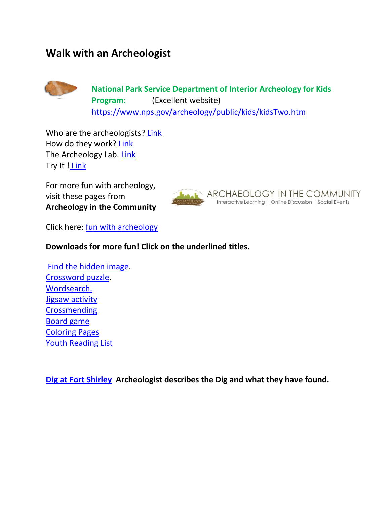## **Walk with an Archeologist**



Who are the archeologists? [Link](https://www.nps.gov/Archeology/PUBLIC/kids/index.htm) How do they work? [Link](https://www.nps.gov/Archeology/PUBLIC/kids/kidsTwo.htm)  The Archeology Lab. [Link](https://www.nps.gov/Archeology/PUBLIC/kids/kidsThree.htm) Try It ! [Link](https://www.nps.gov/Archeology/PUBLIC/kids/kidsFour.htm)

For more fun with archeology, visit these pages from **Archeology in the Community**



Click here: fun with archeology

## **Downloads for more fun! Click on the underlined titles.**

[Find the hidden image.](http://www.archaeologyincommunity.com/wp-content/uploads/2017/05/Exacation_Hidden.pdf) [Crossword puzzle.](http://www.archaeologyincommunity.com/wp-content/uploads/2017/05/Crossword-Puzzle.pdf) [Wordsearch.](http://www.archaeologyincommunity.com/wp-content/uploads/2016/06/Word-Search.pdf)  [Jigsaw activity](http://www.archaeologyincommunity.com/wp-content/uploads/2016/06/JigsawSimple.pdf)  **Crossmending** [Board game](http://www.archaeologyincommunity.com/wp-content/uploads/2016/06/Board-Game.pdf)  [Coloring Pages](http://www.archaeologyincommunity.com/wp-content/uploads/2020/07/Coloring-Pages.pdf)  [Youth Reading List](http://www.archaeologyincommunity.com/youth-reading-list/)

**[Dig at Fort Shirley](https://youtu.be/R7T_R7Qtp14) Archeologist describes the Dig and what they have found.**